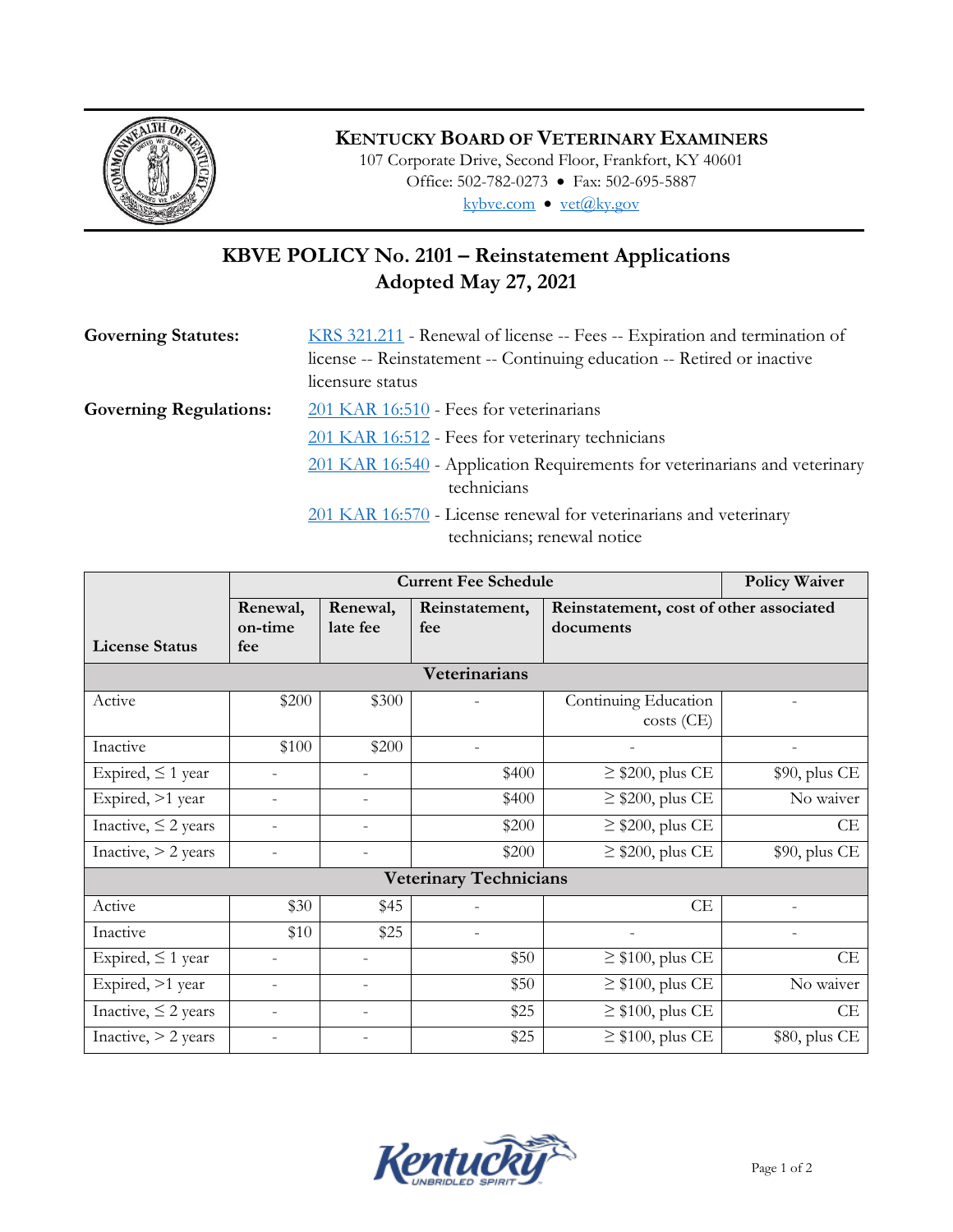

## **KENTUCKY BOARD OF VETERINARY EXAMINERS**

107 Corporate Drive, Second Floor, Frankfort, KY 40601 Office: 502-782-0273 • Fax: 502-695-5887 kybve.com · vet@ky.gov

## **KBVE POLICY No. 2101 – Reinstatement Applications Adopted May 27, 2021**

| <b>Governing Statutes:</b>    | KRS 321.211 - Renewal of license -- Fees -- Expiration and termination of     |  |  |  |
|-------------------------------|-------------------------------------------------------------------------------|--|--|--|
|                               | license -- Reinstatement -- Continuing education -- Retired or inactive       |  |  |  |
|                               | licensure status                                                              |  |  |  |
| <b>Governing Regulations:</b> | 201 KAR 16:510 - Fees for veterinarians                                       |  |  |  |
|                               | 201 KAR 16:512 - Fees for veterinary technicians                              |  |  |  |
|                               | 201 KAR 16:540 - Application Requirements for veterinarians and veterinary    |  |  |  |
|                               | technicians                                                                   |  |  |  |
|                               | $201 \text{ KAR}$ $16.570$ - License repewal for veterinarians and veterinary |  |  |  |

 $\underline{01}$  KAR 16:570 - License renewal for veterinarians and veterinary technicians; renewal notice

|                               |                            | <b>Policy Waiver</b>     |                       |                                                      |               |  |
|-------------------------------|----------------------------|--------------------------|-----------------------|------------------------------------------------------|---------------|--|
| <b>License Status</b>         | Renewal,<br>on-time<br>fee | Renewal,<br>late fee     | Reinstatement,<br>fee | Reinstatement, cost of other associated<br>documents |               |  |
| Veterinarians                 |                            |                          |                       |                                                      |               |  |
| Active                        | \$200                      | \$300                    |                       | Continuing Education<br>$costs$ (CE)                 |               |  |
| Inactive                      | \$100                      | \$200                    |                       |                                                      |               |  |
| Expired, $\leq 1$ year        |                            |                          | \$400                 | $\geq$ \$200, plus CE                                | \$90, plus CE |  |
| Expired, >1 year              |                            |                          | \$400                 | $\geq$ \$200, plus CE                                | No waiver     |  |
| Inactive, $\leq$ 2 years      |                            | $\overline{\phantom{0}}$ | \$200                 | $\geq$ \$200, plus CE                                | CE            |  |
| Inactive, $>$ 2 years         |                            |                          | \$200                 | $\geq$ \$200, plus CE                                | \$90, plus CE |  |
| <b>Veterinary Technicians</b> |                            |                          |                       |                                                      |               |  |
| Active                        | \$30                       | \$45                     |                       | CE                                                   |               |  |
| Inactive                      | \$10                       | \$25                     |                       |                                                      |               |  |
| Expired, $\leq 1$ year        | $\overline{a}$             | $\overline{\phantom{a}}$ | \$50                  | $\geq$ \$100, plus CE                                | CE            |  |
| Expired, >1 year              | $\overline{a}$             | $\overline{\phantom{a}}$ | \$50                  | $\geq$ \$100, plus CE                                | No waiver     |  |
| Inactive, $\leq$ 2 years      |                            | $\overline{\phantom{a}}$ | \$25                  | $\geq$ \$100, plus CE                                | CE            |  |
| Inactive, $>$ 2 years         |                            |                          | \$25                  | $\geq$ \$100, plus CE                                | \$80, plus CE |  |